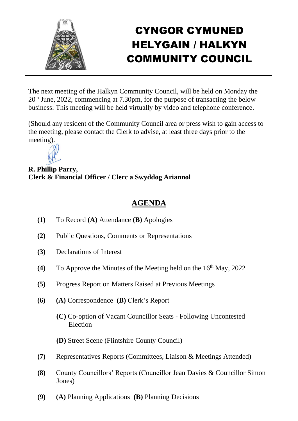

## CYNGOR CYMUNED HELYGAIN / HALKYN COMMUNITY COUNCIL

The next meeting of the Halkyn Community Council, will be held on Monday the 20th June, 2022, commencing at 7.30pm, for the purpose of transacting the below business: This meeting will be held virtually by video and telephone conference.

(Should any resident of the Community Council area or press wish to gain access to the meeting, please contact the Clerk to advise, at least three days prior to the meeting).



**R. Phillip Parry, Clerk & Financial Officer / Clerc a Swyddog Ariannol**

## **AGENDA**

- **(1)** To Record **(A)** Attendance **(B)** Apologies
- **(2)** Public Questions, Comments or Representations
- **(3)** Declarations of Interest
- **(4)** To Approve the Minutes of the Meeting held on the  $16<sup>th</sup>$  May, 2022
- **(5)** Progress Report on Matters Raised at Previous Meetings
- **(6) (A)** Correspondence **(B)** Clerk's Report
	- **(C)** Co-option of Vacant Councillor Seats Following Uncontested Election

**(D)** Street Scene (Flintshire County Council)

- **(7)** Representatives Reports (Committees, Liaison & Meetings Attended)
- **(8)** County Councillors' Reports (Councillor Jean Davies & Councillor Simon Jones)
- **(9) (A)** Planning Applications **(B)** Planning Decisions